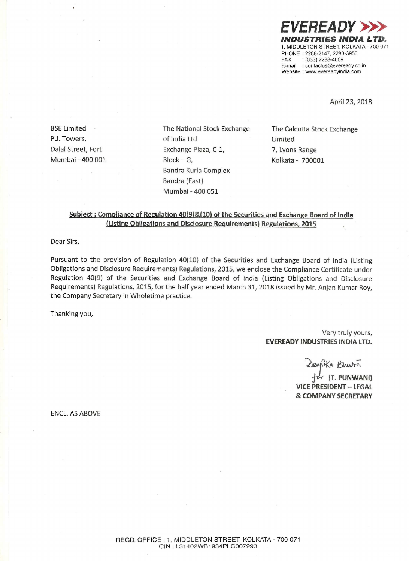

April 23, 2018

Mumbai — 400 001 Block —

P.J. Towers, the contract of India Ltd the Limits of Limited Dalal Street, Fort Exchange Plaza, C-1, 7, Lyons Range G, Kolkata - 700001 Bandra Kurla Complex Bandra (East) Mumbai — 400 051

BSE Limited **Exchange** The National Stock Exchange The Calcutta Stock Exchange

### Subject : Compliance of Regulation 40(9)&(10) of the Securities and Exchange Board of India (Listing Obligations and Disclosure Reguirements) Regulations, 2015

Dear Sirs,

Pursuant to the provision of Regulation 40(10) of the Securities and Exchange Board of India (Listing Obligations and Disclosure Requirements) Regulations, 2015, we enclose the Compliance Certificate under Regulation 40(9) of the Securities and Exchange Board of India (Listing Obligations and Disclosure Requirements) Regulations, 2015, for the half year ended March 31, 2018 issued by Mr. Anjan Kumar Roy, the Company Secretary in Wholetime practice.

Thanking you,

#### Very truly yours, EVEREADY INDUSTRIES INDIA LTD.

Ka Bhura

(T. PUNWANI) VICE PRESIDENT — LEGAL 8: COMPANY SECRETARY

ENCL. AS ABOVE